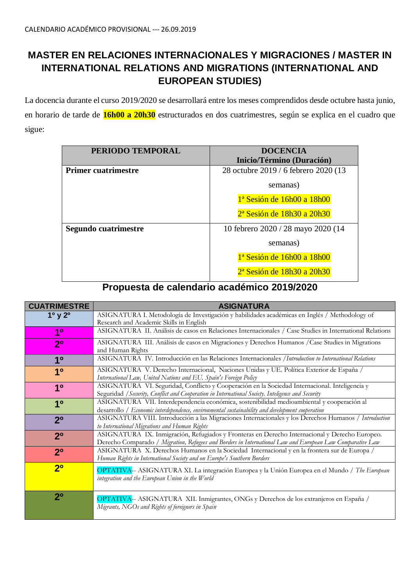# **MASTER EN RELACIONES INTERNACIONALES Y MIGRACIONES / MASTER IN INTERNATIONAL RELATIONS AND MIGRATIONS (INTERNATIONAL AND EUROPEAN STUDIES)**

La docencia durante el curso 2019/2020 se desarrollará entre los meses comprendidos desde octubre hasta junio, en horario de tarde de **16h00 a 20h30** estructurados en dos cuatrimestres, según se explica en el cuadro que sigue:

| PERIODO TEMPORAL           | <b>DOCENCIA</b><br>Inicio/Término (Duración) |  |  |  |
|----------------------------|----------------------------------------------|--|--|--|
| <b>Primer cuatrimestre</b> | 28 octubre 2019 / 6 febrero 2020 (13         |  |  |  |
|                            | semanas)                                     |  |  |  |
|                            | 1 <sup>ª</sup> Sesión de 16h00 a 18h00       |  |  |  |
|                            | $2a$ Sesión de 18h30 a 20h30                 |  |  |  |
| Segundo cuatrimestre       | 10 febrero 2020 / 28 mayo 2020 (14           |  |  |  |
|                            | semanas)                                     |  |  |  |
|                            | 1 <sup>ª</sup> Sesión de 16h00 a 18h00       |  |  |  |
|                            | 2 <sup>ª</sup> Sesión de 18h30 a 20h30       |  |  |  |

# **Propuesta de calendario académico 2019/2020**

| <b>CUATRIMESTRE</b>             | <b>ASIGNATURA</b>                                                                                                                                                                                           |
|---------------------------------|-------------------------------------------------------------------------------------------------------------------------------------------------------------------------------------------------------------|
| 1 <sup>o</sup> y 2 <sup>o</sup> | ASIGNATURA I. Metodología de Investigación y habilidades académicas en Inglés / Methodology of<br>Research and Academic Skills in English                                                                   |
| 1 <sup>0</sup>                  | ASIGNATURA II. Análisis de casos en Relaciones Internacionales / Case Studies in International Relations                                                                                                    |
| 2 <sup>0</sup>                  | ASIGNATURA III. Análisis de casos en Migraciones y Derechos Humanos / Case Studies in Migrations<br>and Human Rights                                                                                        |
| 10                              | ASIGNATURA IV. Introducción en las Relaciones Internacionales / Introduction to International Relations                                                                                                     |
| 1 <sup>0</sup>                  | ASIGNATURA V. Derecho Internacional, Naciones Unidas y UE. Política Exterior de España /<br>International Law, United Nations and EU. Spain's Foreign Policy                                                |
| 1 <sup>0</sup>                  | ASIGNATURA VI. Seguridad, Conflicto y Cooperación en la Sociedad Internacional. Inteligencia y<br>Seguridad / Security, Conflict and Cooperation in International Society. Inteligence and Security         |
| 1 <sup>0</sup>                  | ASIGNATURA VII. Interdependencia económica, sostenibilidad medioambiental y cooperación al<br>desarrollo / Economic interdependence, environmental sustainability and development cooperation               |
| 2 <sup>0</sup>                  | ASIGNATURA VIII. Introducción a las Migraciones Internacionales y los Derechos Humanos / Introduction<br>to International Migrations and Human Rights                                                       |
| 2 <sup>0</sup>                  | ASIGNATURA IX. Inmigración, Refugiados y Fronteras en Derecho Internacional y Derecho Europeo.<br>Derecho Comparado / Migration, Refugees and Borders in International Law and European Law Comparative Law |
| 2 <sup>0</sup>                  | ASIGNATURA X. Derechos Humanos en la Sociedad Internacional y en la frontera sur de Europa /<br>Human Rights in International Society and on Europe's Southern Borders                                      |
| 2 <sup>0</sup>                  | OPTATIVA-- ASIGNATURA XI. La integración Europea y la Unión Europea en el Mundo / The European<br>integration and the European Union in the World                                                           |
| $2^{\circ}$                     | OPTATIVA-- ASIGNATURA XII. Inmigrantes, ONGs y Derechos de los extranjeros en España /<br>Migrants, NGOs and Rights of foreigners in Spain                                                                  |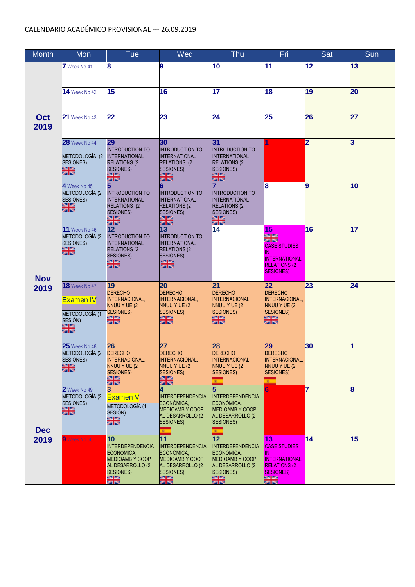| Month      | <b>Mon</b>                                  | Tue                                          | Wed                                          | <b>Thu</b>                                   | Fri                                          | Sat            | Sun            |
|------------|---------------------------------------------|----------------------------------------------|----------------------------------------------|----------------------------------------------|----------------------------------------------|----------------|----------------|
|            | 7 Week No 41                                | 8                                            | 9                                            | 10                                           | 11                                           | 12             | 13             |
|            |                                             |                                              |                                              |                                              |                                              |                |                |
|            |                                             | 15                                           | 16                                           | 17                                           | 18                                           | 19             | 20             |
|            | <b>14</b> Week No 42                        |                                              |                                              |                                              |                                              |                |                |
|            |                                             |                                              |                                              |                                              |                                              |                |                |
| Oct        | <b>21</b> Week No 43                        | 22                                           | 23                                           | 24                                           | 25                                           | 26             | 27             |
| 2019       |                                             |                                              |                                              |                                              |                                              |                |                |
|            | <b>28</b> Week No 44                        | 29                                           | 30                                           | 31                                           |                                              | $\overline{2}$ | 3              |
|            |                                             | <b>INTRODUCTION TO</b>                       | <b>INTRODUCTION TO</b>                       | <b>INTRODUCTION TO</b>                       |                                              |                |                |
|            | METODOLOGÍA (2<br>SESIONES)                 | <b>INTERNATIONAL</b><br><b>RELATIONS (2</b>  | <b>INTERNATIONAL</b><br><b>RELATIONS (2</b>  | <b>INTERNATIONAL</b><br><b>RELATIONS (2)</b> |                                              |                |                |
|            | ica pos<br>Santos                           | <b>SESIONES)</b><br>전망.<br>전망                | <b>SESIONES)</b><br>eagea.<br>Salam          | <b>SESIONES)</b><br>전망<br>전망                 |                                              |                |                |
|            | 4 Week No 45                                |                                              | 6                                            |                                              | 8                                            | 9              | 10             |
|            | METODOLOGÍA (2                              | INTRODUCTION TO                              | <b>INTRODUCTION TO</b>                       | <b>INTRODUCTION TO</b>                       |                                              |                |                |
|            | SESIONES)<br>aa jaa<br>sellee               | <b>INTERNATIONAL</b><br><b>RELATIONS (2)</b> | <b>INTERNATIONAL</b><br><b>RELATIONS (2)</b> | <b>INTERNATIONAL</b><br><b>RELATIONS (2)</b> |                                              |                |                |
|            |                                             | <b>SESIONES)</b>                             | <b>SESIONES)</b>                             | <b>SESIONES)</b>                             |                                              |                |                |
|            | <b>11</b> Week No 46                        | eano.<br>Salien<br>$12 \overline{ }$         | en pa<br>Palleo<br>13                        | en po<br>Politic<br>14                       | 15                                           | 16             | 17             |
|            | METODOLOGÍA (2                              | INTRODUCTION TO                              | <b>INTRODUCTION TO</b>                       |                                              | <b>Sail List</b><br><b>SPI PRE</b>           |                |                |
|            | <b>SESIONES)</b><br>※1≫<br>※1≫              | <b>INTERNATIONAL</b><br><b>RELATIONS (2)</b> | <b>INTERNATIONAL</b><br><b>RELATIONS (2)</b> |                                              | <b>CASE STUDIES</b>                          |                |                |
|            |                                             | <b>SESIONES)</b><br><b>SALISM</b>            | <b>SESIONES)</b><br><b>SALISM</b>            |                                              | IN<br><b>INTERNATIONAL</b>                   |                |                |
|            |                                             | an re                                        | an ng                                        |                                              | <b>RELATIONS (2)</b><br><b>SESIONES)</b>     |                |                |
| <b>Nov</b> |                                             |                                              |                                              |                                              |                                              |                |                |
| 2019       | <b>18</b> Week No 47                        | 19<br><b>DERECHO</b>                         | 20<br><b>DERECHO</b>                         | 21<br><b>DERECHO</b>                         | 22<br><b>DERECHO</b>                         | 23             | 24             |
|            | <b>Examen IV</b>                            | <b>INTERNACIONAL,</b>                        | INTERNACIONAL,                               | INTERNACIONAL,                               | INTERNACIONAL,                               |                |                |
|            | METODOLOGÍA (1                              | NNUU Y UE (2<br>SESIONES)                    | NNUU Y UE (2<br>SESIONES)                    | NNUU Y UE (2<br><b>SESIONES)</b>             | NNUU Y UE (2<br>SESIONES)                    |                |                |
|            | SESIÓN)                                     | 을족                                           | ez ez<br>Salez                               | <u>द्धा हुन्</u><br>स्वास्त                  | es per<br>Personal                           |                |                |
|            | aa ee<br>Salee                              |                                              |                                              |                                              |                                              |                |                |
|            | <b>25</b> Week No 48                        | 26                                           | 27                                           | 28                                           | 29                                           | 30             | $\overline{1}$ |
|            | METODOLOGÍA (2                              | <b>DERECHO</b>                               | <b>DERECHO</b>                               | <b>DERECHO</b>                               | <b>DERECHO</b>                               |                |                |
|            | <b>SESIONES)</b><br><b>STIRE</b><br>zer reg | <b>INTERNACIONAL,</b><br>NNUU Y UE (2        | <b>INTERNACIONAL,</b><br>NNUU Y UE (2        | INTERNACIONAL,<br><b>NNUU Y UE (2)</b>       | <b>INTERNACIONAL,</b><br>NNUU Y UE (2        |                |                |
|            |                                             | <b>SESIONES)</b><br>ene.<br>Siles            | <b>SESIONES)</b><br>신경<br>전자                 | <b>SESIONES)</b>                             | <b>SESIONES)</b>                             |                |                |
|            | 2 Week No 49                                | 3                                            |                                              | ×                                            |                                              | 7              | 8              |
|            | METODOLOGÍA (2<br><b>SESIONES)</b>          | <b>Examen V</b>                              | <b>INTERDEPENDENCIA</b><br>ECONÓMICA,        | <b>INTERDEPENDENCIA</b><br>ECONÓMICA,        |                                              |                |                |
|            | 쨺豪                                          | METODOLOGÍA (1                               | <b>MEDIOAMB Y COOP</b>                       | MEDIOAMB Y COOP                              |                                              |                |                |
|            |                                             | SESIÓN)<br>Externí                           | AL DESARROLLO (2<br>SESIONES)                | AL DESARROLLO (2<br>SESIONES)                |                                              |                |                |
| <b>Dec</b> |                                             |                                              | ×.                                           | $\mathbf{R}$                                 |                                              |                |                |
| 2019       | 9 Week No 50                                | 10                                           | 11                                           | 12                                           | 13                                           | 14             | 15             |
|            |                                             | <b>INTERDEPENDENCIA</b><br>ECONÓMICA,        | <b>INTERDEPENDENCIA</b><br>ECONÓMICA,        | <b>INTERDEPENDENCIA</b><br>ECONÓMICA,        | <b>CASE STUDIES</b><br>ΙN                    |                |                |
|            |                                             | <b>MEDIOAMBY COOP</b><br>AL DESARROLLO (2    | <b>MEDIOAMBY COOP</b><br>AL DESARROLLO (2    | <b>MEDIOAMBY COOP</b><br>AL DESARROLLO (2    | <b>INTERNATIONAL</b><br><b>RELATIONS (2)</b> |                |                |
|            |                                             | SESIONES)                                    | <b>SESIONES)</b>                             | <b>SESIONES)</b>                             | <b>SESIONES</b> )                            |                |                |
|            |                                             | <b><u>eales</u></b><br>Balles                | en por<br>Portug                             | ्त्र ।<br>स्थापन                             | asu isas<br>pen ing                          |                |                |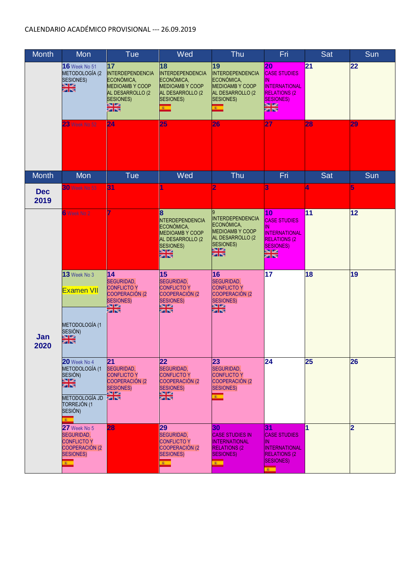| <b>Month</b>       | Mon                                                                                                                    | Tue                                                                                                                                            | Wed                                                                                                                            | Thu                                                                                                                       | Fri                                                                                                                                          | Sat                     | Sun            |
|--------------------|------------------------------------------------------------------------------------------------------------------------|------------------------------------------------------------------------------------------------------------------------------------------------|--------------------------------------------------------------------------------------------------------------------------------|---------------------------------------------------------------------------------------------------------------------------|----------------------------------------------------------------------------------------------------------------------------------------------|-------------------------|----------------|
|                    | <b>16</b> Week No 51<br>METODOLOGÍA (2<br>SESIONES)<br>es pos<br>Portug<br>23 Week No 52                               | 17<br><b>INTERDEPENDENCIA</b><br>ECONÓMICA,<br><b>MEDIOAMB Y COOP</b><br>AL DESARROLLO (2<br><b>SESIONES)</b><br>ica política<br>Gallico<br>24 | 18<br><b>INTERDEPENDENCIA</b><br>ECONÓMICA,<br>MEDIOAMB Y COOP<br>AL DESARROLLO (2<br>SESIONES)<br>$\mathbf{R}$<br>25          | 19<br><b>INTERDEPENDENCIA</b><br>ECONÓMICA,<br>MEDIOAMB Y COOP<br>AL DESARROLLO (2<br>SESIONES)<br>$\mathbf{z}$<br>26     | 20<br><b>CASE STUDIES</b><br>IN<br><b>INTERNATIONAL</b><br><b>RELATIONS (2)</b><br><b>SESIONES</b> )<br><b>BSI 158</b><br><b>SPIEG</b><br>27 | 21<br>28                | 22<br>29       |
|                    |                                                                                                                        |                                                                                                                                                |                                                                                                                                |                                                                                                                           |                                                                                                                                              |                         |                |
| <b>Month</b>       | Mon                                                                                                                    | Tue                                                                                                                                            | Wed                                                                                                                            | <b>Thu</b>                                                                                                                | Fri                                                                                                                                          | Sat                     | Sun            |
| <b>Dec</b><br>2019 | <b>30 Week No 53</b>                                                                                                   | 31                                                                                                                                             |                                                                                                                                | 2                                                                                                                         | 3                                                                                                                                            | ₫.                      | 5              |
|                    | 6 Week No 2                                                                                                            |                                                                                                                                                | 8<br>NTERDEPENDENCIA<br>ECONÓMICA,<br><b>MEDIOAMBY COOP</b><br>AL DESARROLLO (2<br><b>SESIONES)</b><br>eanes<br>Salles         | <b>INTERDEPENDENCIA</b><br>ECONÓMICA,<br><b>MEDIOAMBY COOP</b><br>AL DESARROLLO (2<br><b>SESIONES)</b><br>en es<br>Forbes | 10<br><b>CASE STUDIES</b><br>IN<br><b>INTERNATIONAL</b><br><b>RELATIONS (2)</b><br>SESIONES)<br><mark>asu isas</mark><br>pati itsu           | 11                      | 12             |
|                    | 13 Week No 3<br><b>Examen VII</b>                                                                                      | 14<br>SEGURIDAD,<br><b>CONFLICTO Y</b><br><b>COOPERACIÓN (2</b><br><b>SESIONES)</b><br><b>STIPS</b><br>an re                                   | 15<br><b>SEGURIDAD,</b><br><b>CONFLICTO Y</b><br><b>COOPERACIÓN (2</b><br><b>SESIONES)</b><br>asa isa<br>Kabupat               | 16<br>SEGURIDAD,<br><b>CONFLICTO Y</b><br><b>COOPERACIÓN (2)</b><br><b>SESIONES)</b><br>es pe<br>Salas                    | 17                                                                                                                                           | 18                      | 19             |
| Jan<br>2020        | METODOLOGÍA (1<br>SESIÓN)<br>ene.<br>Sile                                                                              |                                                                                                                                                |                                                                                                                                |                                                                                                                           |                                                                                                                                              |                         |                |
|                    | 20 Week No 4<br>METODOLOGÍA (1<br>SESIÓN)<br>es pos<br>Portug<br>METODOLOGÍA JD<br>TORREJÓN (1<br>SESIÓN)              | 21<br><b>SEGURIDAD,</b><br><b>CONFLICTO Y</b><br><b>COOPERACIÓN (2</b><br><b>SESIONES)</b><br><b>COLES</b><br>रम छन्                           | $\overline{22}$<br><b>SEGURIDAD,</b><br><b>CONFLICTO Y</b><br><b>COOPERACIÓN (2</b><br><b>SESIONES)</b><br>asa isa.<br>Kabupat | 23<br>SEGURIDAD,<br><b>CONFLICTO Y</b><br><b>COOPERACIÓN (2)</b><br><b>SESIONES)</b><br>$\mathbf{R}$                      | $\overline{24}$                                                                                                                              | 25                      | 26             |
|                    | $27$ Week No 5<br><b>SEGURIDAD,</b><br><b>CONFLICTO Y</b><br><b>COOPERACIÓN (2</b><br><b>SESIONES)</b><br>$\mathbf{R}$ | 28                                                                                                                                             | 29<br>SEGURIDAD,<br><b>CONFLICTO Y</b><br><b>COOPERACIÓN (2)</b><br><b>SESIONES)</b><br>$\epsilon$                             | 30<br><b>CASE STUDIES IN</b><br><b>INTERNATIONAL</b><br><b>RELATIONS (2)</b><br>SESIONES)<br>$\sim$                       | 31<br><b>CASE STUDIES</b><br>IN.<br><b>INTERNATIONAL</b><br><b>RELATIONS (2)</b><br><b>SESIONES)</b><br>$\overline{\mathbf{r}}$              | $\overline{\mathbf{1}}$ | $\overline{2}$ |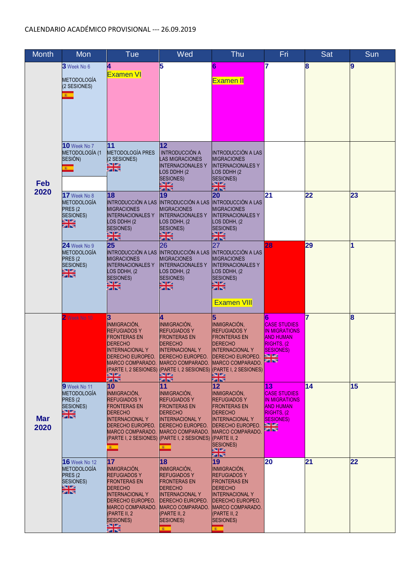| <b>Month</b>       | Mon                                                                                                      | <b>Tue</b>                                                                                                                                                                                                           | Wed                                                                                                                                                                                                  | Thu                                                                                                                                                                                                                                          | Fri                                                                                                                                         | Sat | Sun |
|--------------------|----------------------------------------------------------------------------------------------------------|----------------------------------------------------------------------------------------------------------------------------------------------------------------------------------------------------------------------|------------------------------------------------------------------------------------------------------------------------------------------------------------------------------------------------------|----------------------------------------------------------------------------------------------------------------------------------------------------------------------------------------------------------------------------------------------|---------------------------------------------------------------------------------------------------------------------------------------------|-----|-----|
| Feb<br>2020        | 3 Week No 6<br><b>METODOLOGÍA</b><br>(2 SESIONES)<br>$\mathbf{r}$                                        | 4<br><b>Examen VI</b>                                                                                                                                                                                                | 5                                                                                                                                                                                                    | 6<br>Examen II                                                                                                                                                                                                                               | 7                                                                                                                                           | 8   | 9   |
|                    | <b>10</b> Week No 7<br>METODOLOGÍA (1<br>SESIÓN)                                                         | 11<br><b>METODOLOGÍA PRES</b><br>(2 SESIONES)<br>이종                                                                                                                                                                  | 12<br><b>INTRODUCCIÓN A</b><br><b>LAS MIGRACIONES</b><br><b>INTERNACIONALESY</b><br>LOS DDHH (2<br><b>SESIONES)</b><br>43 S.A<br><b>zi re</b>                                                        | <b>INTRODUCCIÓN A LAS</b><br><b>MIGRACIONES</b><br><b>INTERNACIONALESY</b><br>LOS DDHH (2<br>SESIONES)<br>eano.<br>Paleo                                                                                                                     |                                                                                                                                             |     |     |
|                    | 17 Week No 8<br><b>METODOLOGÍA</b><br>PRES <sub>(2</sub><br><b>SESIONES)</b><br>es pe<br>Sales           | 18<br>INTRODUCCIÓN A LAS INTRODUCCIÓN A LAS<br><b>MIGRACIONES</b><br><b>INTERNACIONALESY</b><br>LOS DDHH (2<br><b>SESIONES)</b><br>ica po<br>Salica                                                                  | 19<br><b>MIGRACIONES</b><br><b>INTERNACIONALESY</b><br>LOS DDHH, (2<br><b>SESIONES)</b><br><b>STIPS</b><br>sa nee                                                                                    | 20<br><b>INTRODUCCIÓN A LAS</b><br><b>MIGRACIONES</b><br><b>INTERNACIONALESY</b><br>LOS DDHH, (2<br><b>SESIONES)</b><br>20122<br>an na                                                                                                       | 21                                                                                                                                          | 22  | 23  |
|                    | $24$ Week No 9<br><b>METODOLOGÍA</b><br>PRES <sub>(2</sub><br><b>SESIONES)</b><br>网络                     | 25<br><b>INTRODUCCIÓN A LAS</b><br><b>MIGRACIONES</b><br><b>INTERNACIONALESY</b><br>LOS DDHH, (2<br><b>SESIONES)</b><br>쨺                                                                                            | 26<br><b>INTRODUCCIÓN A LAS</b><br><b>MIGRACIONES</b><br><b>INTERNACIONALESY</b><br>LOS DDHH, (2<br>SESIONES)<br>ene.<br>Kalend                                                                      | 27<br><b>INTRODUCCIÓN A LAS</b><br><b>MIGRACIONES</b><br><b>INTERNACIONALESY</b><br>LOS DDHH, (2<br>SESIONES)<br>을<br><b>Examen VIII</b>                                                                                                     | 28                                                                                                                                          | 29  | 1   |
| <b>Mar</b><br>2020 | 2 Week No 10                                                                                             | 3<br>INMIGRACIÓN,<br><b>REFUGIADOS Y</b><br><b>FRONTERAS EN</b><br><b>DERECHO</b><br><b>INTERNACIONAL Y</b><br>DERECHO EUROPEO.<br>MARCO COMPARADO.  MARCO COMPARADO.  MARCO COMPARADO.<br><u>श्वाद्य</u><br>व्यक्ति | INMIGRACIÓN,<br><b>REFUGIADOS Y</b><br><b>FRONTERAS EN</b><br><b>DERECHO</b><br><b>INTERNACIONALY</b><br><b>DERECHO EUROPEO.</b><br>전자<br>전문                                                         | 5<br><b>INMIGRACIÓN,</b><br><b>REFUGIADOS Y</b><br><b>FRONTERAS EN</b><br><b>DERECHO</b><br><b>INTERNACIONAL Y</b><br><b>DERECHO EUROPEO.</b><br>(PARTE I, 2 SESIONES) (PARTE I, 2 SESIONES) (PARTE I, 2 SESIONES)<br><b>SALES</b><br>za iza | 6<br><b>CASE STUDIES</b><br><b>IN MIGRATIONS</b><br><b>AND HUMAN</b><br><b>RIGHTS, (2)</b><br><b>SESIONES)</b><br><b>Ball Lati</b><br>an no | 7   | 8   |
|                    | 9 Week No 11<br><b>METODOLOGÍA</b><br>PRES <sub>(2</sub><br><b>SESIONES)</b><br>asu na<br>Salas          | 10<br>INMIGRACIÓN,<br><b>REFUGIADOS Y</b><br><b>FRONTERAS EN</b><br><b>DERECHO</b><br><b>INTERNACIONAL Y</b><br>DERECHO EUROPEO.<br>MARCO COMPARADO.                                                                 | 11<br>INMIGRACIÓN,<br><b>REFUGIADOS Y</b><br><b>FRONTERAS EN</b><br><b>DERECHO</b><br><b>INTERNACIONALY</b><br><b>DERECHO EUROPEO.</b><br><b>MARCO COMPARADO.</b><br>$\mathbf{r}$                    | 12<br>INMIGRACIÓN,<br><b>REFUGIADOS Y</b><br><b>FRONTERAS EN</b><br><b>DERECHO</b><br><b>INTERNACIONALY</b><br><b>DERECHO EUROPEO.</b><br>MARCO COMPARADO.<br><b>SESIONES)</b><br>ez ez<br>Kalicz                                            | 13<br><b>CASE STUDIES</b><br><b>IN MIGRATIONS</b><br><b>AND HUMAN</b><br>RIGHTS, (2<br><b>SESIONES</b> )<br>asu kac<br>Pati pat             | 14  | 15  |
|                    | <b>16</b> Week No 12<br><b>METODOLOGÍA</b><br>PRES <sub>(2</sub><br><b>SESIONES)</b><br>es per<br>Series | 17<br>INMIGRACIÓN,<br><b>REFUGIADOS Y</b><br><b>FRONTERAS EN</b><br><b>DERECHO</b><br><b>INTERNACIONALY</b><br>DERECHO EUROPEO.<br>MARCO COMPARADO.<br>(PARTE II, 2<br><b>SESIONES)</b><br>経験<br><mark>交付</mark> 文   | 18<br>INMIGRACIÓN,<br><b>REFUGIADOS Y</b><br><b>FRONTERAS EN</b><br><b>DERECHO</b><br><b>INTERNACIONALY</b><br><b>DERECHO EUROPEO.</b><br><b>MARCO COMPARADO.</b><br>(PARTE II, 2<br>SESIONES)<br>×. | 19<br>INMIGRACIÓN,<br><b>REFUGIADOS Y</b><br><b>FRONTERAS EN</b><br><b>DERECHO</b><br><b>INTERNACIONALY</b><br><b>DERECHO EUROPEO.</b><br>MARCO COMPARADO.<br>(PARTE II, 2<br>SESIONES)<br>$\mathbf{r}$                                      | 20                                                                                                                                          | 21  | 22  |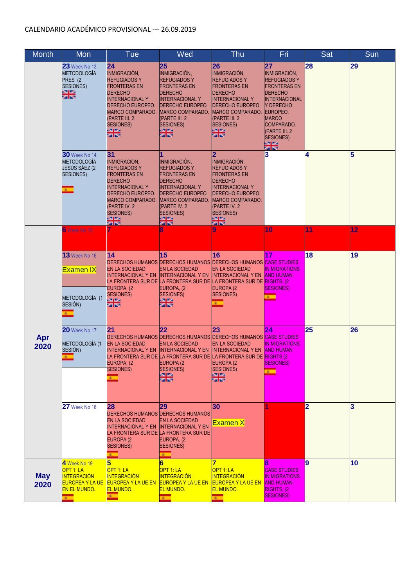| Month              | Mon                                                                                                                         | <b>Tue</b>                                                                                                                                                                                                         | Wed                                                                                                                                                                                          | Thu                                                                                                                                                                                                                                                                       | Fri                                                                                                                                                                                                                 | Sat            | Sun |
|--------------------|-----------------------------------------------------------------------------------------------------------------------------|--------------------------------------------------------------------------------------------------------------------------------------------------------------------------------------------------------------------|----------------------------------------------------------------------------------------------------------------------------------------------------------------------------------------------|---------------------------------------------------------------------------------------------------------------------------------------------------------------------------------------------------------------------------------------------------------------------------|---------------------------------------------------------------------------------------------------------------------------------------------------------------------------------------------------------------------|----------------|-----|
|                    | <b>23</b> Week No 13<br><b>METODOLOGÍA</b><br>PRES (2<br>SESIONES)<br>3월 5일<br>2월 5일                                        | 24<br>INMIGRACIÓN,<br><b>REFUGIADOS Y</b><br>FRONTERAS EN<br><b>DERECHO</b><br><b>INTERNACIONAL Y</b><br>DERECHO EUROPEO.<br>MARCO COMPARADO.<br>(PARTE III. 2<br><b>SESIONES)</b><br>ea pa<br>Aa ba               | 25<br>INMIGRACIÓN,<br><b>REFUGIADOS Y</b><br>FRONTERAS EN<br><b>DERECHO</b><br><b>INTERNACIONAL Y</b><br>DERECHO EUROPEO.<br>MARCO COMPARADO.<br>(PARTE III. 2<br><b>SESIONES)</b><br>제작     | 26<br>INMIGRACIÓN,<br><b>REFUGIADOS Y</b><br><b>FRONTERAS EN</b><br><b>DERECHO</b><br><b>INTERNACIONALY</b><br><b>DERECHO EUROPEO.</b><br>MARCO COMPARADO.<br>(PARTE III. 2<br>SESIONES)<br>فعالط<br>रम एक                                                                | 27<br>INMIGRACIÓN,<br><b>REFUGIADOS Y</b><br><b>FRONTERAS EN</b><br><b>DERECHO</b><br><b>INTERNACIONAL</b><br>IY DERECHO<br>EUROPEO.<br><b>MARCO</b><br>COMPARADO.<br>(PARTE III. 2<br><b>SESIONES)</b><br>조망<br>제작 | 28             | 29  |
|                    | $30$ Week No 14<br><b>METODOLOGÍA</b><br>JESÚS SÁEZ (2<br>SESIONES)<br>$\mathbf{g}$ .                                       | 31<br>INMIGRACIÓN,<br><b>REFUGIADOS Y</b><br><b>FRONTERAS EN</b><br><b>DERECHO</b><br><b>INTERNACIONAL Y</b><br>DERECHO EUROPEO.<br><b>MARCO COMPARADO.</b><br>(PARTE IV. 2<br><b>SESIONES)</b><br>83 B.A<br>on po | INMIGRACIÓN,<br><b>REFUGIADOS Y</b><br><b>FRONTERAS EN</b><br><b>DERECHO</b><br><b>INTERNACIONALY</b><br>DERECHO EUROPEO.<br>MARCO COMPARADO<br>(PARTE IV. 2<br><b>SESIONES)</b><br>전쟁<br>정치 | 2<br>INMIGRACIÓN,<br><b>REFUGIADOS Y</b><br><b>FRONTERAS EN</b><br><b>DERECHO</b><br><b>INTERNACIONALY</b><br><b>DERECHO EUROPEO.</b><br><b>MARCO COMPARADO.</b><br>(PARTE IV. 2<br><b>SESIONES)</b><br><b>27152</b><br><mark>on rea</mark>                               | 3                                                                                                                                                                                                                   | 4              | 5   |
|                    | 6 Week No 15                                                                                                                |                                                                                                                                                                                                                    |                                                                                                                                                                                              |                                                                                                                                                                                                                                                                           | 10                                                                                                                                                                                                                  | 11             | 12  |
|                    | 13 Week No 16<br><b>Examen IX</b>                                                                                           | 14<br><b>EN LA SOCIEDAD</b><br>INTERNACIONAL Y EN<br>EUROPA, (2                                                                                                                                                    | 15<br><b>EN LA SOCIEDAD</b><br><b>INTERNACIONAL Y EN</b><br>EUROPA, (2                                                                                                                       | 16<br><b>DERECHOS HUMANOS DERECHOS HUMANOS DERECHOS HUMANOS CASE STUDIES</b><br><b>EN LA SOCIEDAD</b><br><b>INTERNACIONAL Y EN</b><br>LA FRONTERA SUR DE <b>I</b> LA FRONTERA SUR DE <b>I</b> LA FRONTERA SUR DE <mark>RIGHTS, (2</mark><br>EUROPA <sub>(2</sub>          | 17<br><b>IN MIGRATIONS</b><br><b>AND HUMAN</b><br><b>SESIONES)</b>                                                                                                                                                  | 18             | 19  |
|                    | METODOLOGÍA (1<br>SESIÓN)<br>$\mathbf{r}$                                                                                   | <b>SESIONES)</b><br><b>ANTIQA</b><br>as no                                                                                                                                                                         | <b>SESIONES)</b><br>전문<br>대학                                                                                                                                                                 | <b>SESIONES)</b><br>$\mathbf{r}$                                                                                                                                                                                                                                          | $\mathbf{r}$                                                                                                                                                                                                        |                |     |
| Apr<br>2020        | <b>20</b> Week No 17<br>METODOLOGÍA (1<br>SESIÓN)<br>×                                                                      | 21<br><b>EN LA SOCIEDAD</b><br>INTERNACIONAL Y EN-<br>EUROPA, (2<br><b>SESIONES)</b><br>$\mathbf{r}$                                                                                                               | 22<br><b>EN LA SOCIEDAD</b><br><b>INTERNACIONAL Y EN</b><br>EUROPA (2<br><b>SESIONES)</b><br>sana.<br>Kabupat                                                                                | 23<br>DERECHOS HUMANOS DERECHOS HUMANOS DERECHOS HUMANOS CASE STUDIES<br><b>EN LA SOCIEDAD</b><br><b>INTERNACIONAL Y EN</b><br>.A FRONTERA SUR DE LA FRONTERA SUR DE LA FRONTERA SUR DE <mark>IRIGHTS (2</mark><br>EUROPA (2<br><b>SESIONES</b> )<br>asu isa.<br>Kata isa | 24<br><b>IN MIGRATIONS</b><br><b>AND HUMAN</b><br><b>ISESIONES)</b><br>$\overline{\mathbf{r}}$                                                                                                                      | 25             | 26  |
|                    | <b>27</b> Week No 18                                                                                                        | 28<br>DERECHOS HUMANOS DERECHOS HUMANOS<br><b>EN LA SOCIEDAD</b><br><b>INTERNACIONAL Y EN</b><br>EUROPA <sub>(2</sub><br><b>SESIONES)</b><br>$\mathbf{R}$                                                          | 29<br><b>EN LA SOCIEDAD</b><br><b>INTERNACIONAL Y EN</b><br>A FRONTERA SUR DE LA FRONTERA SUR DE<br>EUROPA, (2<br><b>SESIONES)</b><br>$\mathbf{r}$                                           | 30<br>Examen X                                                                                                                                                                                                                                                            |                                                                                                                                                                                                                     | $\overline{2}$ | 3   |
| <b>May</b><br>2020 | 4 Week No 19<br>OPT 1: LA<br><b>INTEGRACIÓN</b><br><b>EUROPEA Y LA UE</b><br><b>EN EL MUNDO.</b><br>$\overline{\mathbf{r}}$ | 5<br>OPT 1: LA<br><b>INTEGRACIÓN</b><br><b>EUROPEA Y LA UE EN</b><br><b>EL MUNDO.</b><br>$\overline{\mathbf{r}}$                                                                                                   | OPT 1: LA<br><b>INTEGRACIÓN</b><br><b>EUROPEA Y LA UE EN</b><br><b>EL MUNDO.</b><br>$\overline{\mathbf{r}}$                                                                                  | OPT 1: LA<br><b>INTEGRACIÓN</b><br><b>EUROPEA Y LA UE EN</b><br><b>EL MUNDO.</b><br>$\mathbf{r}$                                                                                                                                                                          | <b>CASE STUDIES</b><br><b>IN MIGRATIONS</b><br><b>AND HUMAN</b><br>RIGHTS, (2<br><b>SESIONES)</b>                                                                                                                   | 9              | 10  |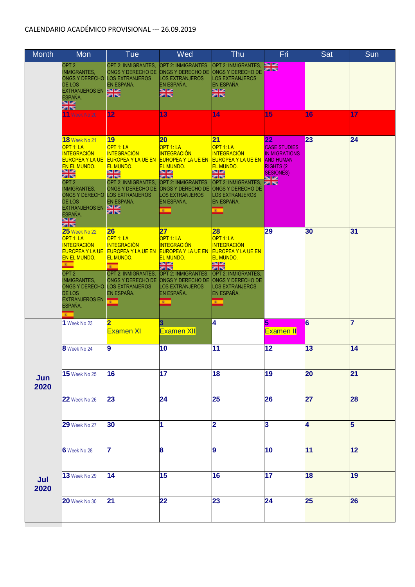| <b>Month</b> | Mon                                                                                                                                                                                                                                                                                     | Tue                                                                                                                                                                                                                                        | Wed                                                                                                                                                                                                                                  | Thu                                                                                                                                                                                                                           | Fri                                                                                                                                                  | Sat | Sun |
|--------------|-----------------------------------------------------------------------------------------------------------------------------------------------------------------------------------------------------------------------------------------------------------------------------------------|--------------------------------------------------------------------------------------------------------------------------------------------------------------------------------------------------------------------------------------------|--------------------------------------------------------------------------------------------------------------------------------------------------------------------------------------------------------------------------------------|-------------------------------------------------------------------------------------------------------------------------------------------------------------------------------------------------------------------------------|------------------------------------------------------------------------------------------------------------------------------------------------------|-----|-----|
|              | OPT <sub>2:</sub><br><b>INMIGRANTES,</b><br><b>ONGS Y DERECHO</b><br><b>DE LOS</b><br><b>EXTRANJEROS EN</b><br>ESPAÑA.<br>aa jaa<br>aa jaa                                                                                                                                              | OPT 2: INMIGRANTES,<br>ONGS Y DERECHO DE<br><b>LOS EXTRANJEROS</b><br><b>IEN ESPAÑA.</b><br><b>Ball Lat</b><br><b>STIPS</b>                                                                                                                | OPT 2: INMIGRANTES.<br>ONGS Y DERECHO DE<br><b>LOS EXTRANJEROS</b><br>EN ESPAÑA.<br>alar<br>21ko                                                                                                                                     | OPT 2: INMIGRANTES,<br><b>ONGS Y DERECHO DE</b><br>LOS EXTRANJEROS<br>EN ESPAÑA<br>ası ise<br>221 res                                                                                                                         | <b>Ball Lati</b><br><b>AST INC</b>                                                                                                                   |     |     |
|              | 11 Week No 20                                                                                                                                                                                                                                                                           | 12                                                                                                                                                                                                                                         | 13                                                                                                                                                                                                                                   | 14                                                                                                                                                                                                                            | 15                                                                                                                                                   | 16  | 17  |
|              | <b>18</b> Week No 21<br>OPT 1: LA<br><b>INTEGRACIÓN</b><br><b>EUROPEA Y LA UE</b><br><b>EN EL MUNDO.</b><br>53 54<br><b>SELES</b><br>OPT <sub>2:</sub><br><b>INMIGRANTES,</b><br><b>ONGS Y DERECHO</b><br>DE LOS<br><b>EXTRANJEROS EN</b><br>ESPAÑA.<br>as las.<br><mark>Zer</mark> ber | 19<br>OPT 1: LA<br><b>INTEGRACIÓN</b><br><b>EUROPEA Y LA UE EN</b><br><b>EL MUNDO.</b><br>53 BS<br><u>समाप्त ह</u><br>OPT 2: INMIGRANTES,<br><b>ONGS Y DERECHO DE</b><br><b>LOS EXTRANJEROS</b><br>EN ESPAÑA.<br><b>Ball Lat.</b><br>ला एक | 20<br>OPT 1: LA<br><b>INTEGRACIÓN</b><br><b>EUROPEA Y LA UE EN</b><br><b>EL MUNDO.</b><br><b>121 RO</b><br><b>BET DES</b><br>OPT 2: INMIGRANTES,<br><b>ONGS Y DERECHO DE</b><br><b>LOS EXTRANJEROS</b><br>EN ESPAÑA.<br>$\mathbf{R}$ | 21<br>OPT 1: LA<br><b>INTEGRACIÓN</b><br><b>EUROPEA Y LA UE EN</b><br><b>EL MUNDO.</b><br><b>Ball Bal</b><br><u>कम एक</u><br>OPT 2: INMIGRANTES,<br><b>ONGS Y DERECHO DE</b><br><b>LOS EXTRANJEROS</b><br>EN ESPAÑA.<br>$8 -$ | 22<br><b>CASE STUDIES</b><br><b>IN MIGRATIONS</b><br><b>AND HUMAN</b><br><b>RIGHTS (2)</b><br><b>SESIONES)</b><br><b>Ball Lati</b><br><b>SPI PRO</b> | 23  | 24  |
|              | <b>25</b> Week No 22<br>OPT 1: LA<br><u>INTEGRACIÓN</u><br><b>EUROPEA Y LA UE</b><br><b>EN EL MUNDO.</b><br>$\mathbf{R}$<br>OPT <sub>2:</sub><br><b>INMIGRANTES,</b><br><b>ONGS Y DERECHO</b><br><b>DE LOS</b>                                                                          | 26<br>OPT 1: LA<br><b>INTEGRACIÓN</b><br><b>EUROPEA Y LA UE EN</b><br><b>EL MUNDO.</b><br>$\mathbf{r}$<br>OPT 2: INMIGRANTES,<br>ONGS Y DERECHO DE<br><b>LOS EXTRANJEROS</b><br>EN ESPAÑA.                                                 | 27<br>OPT 1: LA<br><b>INTEGRACIÓN</b><br><b>EUROPEA Y LA UE EN</b><br><b>EL MUNDO.</b><br>83 BS<br>asa isa<br>OPT 2: INMIGRANTES,<br><b>ONGS Y DERECHO DE</b><br><b>LOS EXTRANJEROS</b><br>EN ESPAÑA.                                | 28<br>OPT 1: LA<br><b>INTEGRACIÓN</b><br><b>EUROPEA Y LA UE EN</b><br><b>EL MUNDO.</b><br>83 BS<br><u>ज्य छन्</u><br>OPT 2: INMIGRANTES,<br><b>ONGS Y DERECHO DE</b><br><b>LOS EXTRANJEROS</b><br>EN ESPAÑA.                  | 29                                                                                                                                                   | 30  | 31  |
|              | <b>EXTRANJEROS EN</b><br>ESPAÑA.<br>×.                                                                                                                                                                                                                                                  | $\overline{\mathbf{x}}$                                                                                                                                                                                                                    | $\mathbf{E}$ .                                                                                                                                                                                                                       | $\mathbf{r}$                                                                                                                                                                                                                  |                                                                                                                                                      |     |     |
|              | 1 Week No 23                                                                                                                                                                                                                                                                            | <b>Examen XI</b>                                                                                                                                                                                                                           | <b>Examen XII</b>                                                                                                                                                                                                                    | 4                                                                                                                                                                                                                             | 5<br>Examen II                                                                                                                                       | 6   | 7   |
|              | 8 Week No 24                                                                                                                                                                                                                                                                            | $\boldsymbol{9}$                                                                                                                                                                                                                           | 10                                                                                                                                                                                                                                   | $\overline{11}$                                                                                                                                                                                                               | 12                                                                                                                                                   | 13  | 14  |
| Jun<br>2020  | <b>15</b> Week No 25                                                                                                                                                                                                                                                                    | 16                                                                                                                                                                                                                                         | 17                                                                                                                                                                                                                                   | 18                                                                                                                                                                                                                            | 19                                                                                                                                                   | 20  | 21  |
|              | 22 Week No 26                                                                                                                                                                                                                                                                           | 23                                                                                                                                                                                                                                         | 24                                                                                                                                                                                                                                   | 25                                                                                                                                                                                                                            | 26                                                                                                                                                   | 27  | 28  |
|              | 29 Week No 27                                                                                                                                                                                                                                                                           | 30                                                                                                                                                                                                                                         | 1                                                                                                                                                                                                                                    | $\overline{\mathbf{2}}$                                                                                                                                                                                                       | 3                                                                                                                                                    | 4   | 5   |
| Jul<br>2020  | 6 Week No 28                                                                                                                                                                                                                                                                            | 7                                                                                                                                                                                                                                          | 8                                                                                                                                                                                                                                    | 9                                                                                                                                                                                                                             | 10                                                                                                                                                   | 11  | 12  |
|              | <b>13</b> Week No 29                                                                                                                                                                                                                                                                    | 14                                                                                                                                                                                                                                         | 15                                                                                                                                                                                                                                   | 16                                                                                                                                                                                                                            | 17                                                                                                                                                   | 18  | 19  |
|              | 20 Week No 30                                                                                                                                                                                                                                                                           | 21                                                                                                                                                                                                                                         | 22                                                                                                                                                                                                                                   | 23                                                                                                                                                                                                                            | 24                                                                                                                                                   | 25  | 26  |